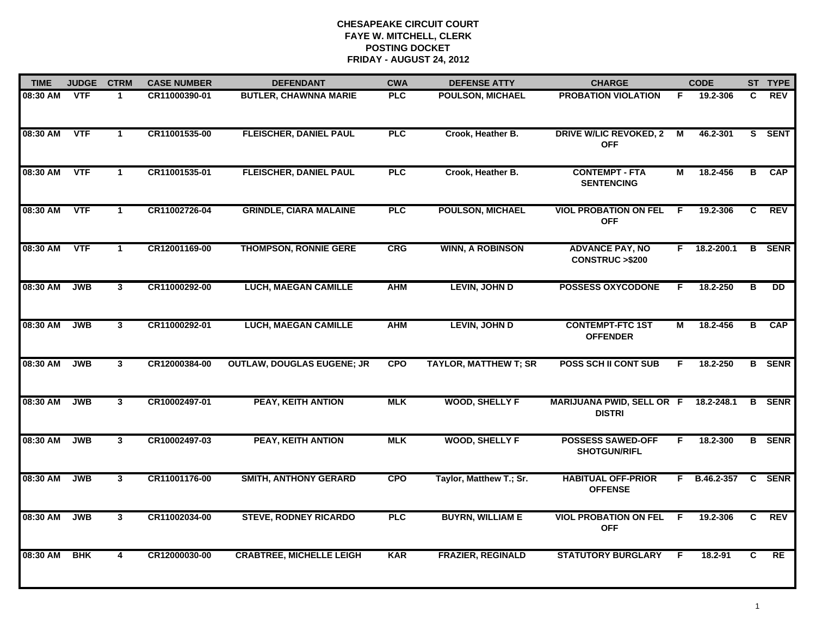| <b>TIME</b> | <b>JUDGE</b> | <b>CTRM</b>             | <b>CASE NUMBER</b> | <b>DEFENDANT</b>                  | <b>CWA</b> | <b>DEFENSE ATTY</b>          | <b>CHARGE</b>                                       |                | <b>CODE</b>         |                         | ST TYPE         |
|-------------|--------------|-------------------------|--------------------|-----------------------------------|------------|------------------------------|-----------------------------------------------------|----------------|---------------------|-------------------------|-----------------|
| 08:30 AM    | <b>VTF</b>   | 1                       | CR11000390-01      | <b>BUTLER, CHAWNNA MARIE</b>      | <b>PLC</b> | <b>POULSON, MICHAEL</b>      | <b>PROBATION VIOLATION</b>                          | F.             | 19.2-306            | C.                      | <b>REV</b>      |
| 08:30 AM    | <b>VTF</b>   | $\mathbf 1$             | CR11001535-00      | <b>FLEISCHER, DANIEL PAUL</b>     | PLC        | Crook, Heather B.            | <b>DRIVE W/LIC REVOKED, 2</b><br><b>OFF</b>         | $\overline{M}$ | 46.2-301            |                         | S SENT          |
| 08:30 AM    | <b>VTF</b>   | $\mathbf 1$             | CR11001535-01      | <b>FLEISCHER, DANIEL PAUL</b>     | <b>PLC</b> | Crook, Heather B.            | <b>CONTEMPT - FTA</b><br><b>SENTENCING</b>          | М              | 18.2-456            | в                       | <b>CAP</b>      |
| 08:30 AM    | <b>VTF</b>   | $\blacktriangleleft$    | CR11002726-04      | <b>GRINDLE, CIARA MALAINE</b>     | PLC        | <b>POULSON, MICHAEL</b>      | <b>VIOL PROBATION ON FEL</b><br><b>OFF</b>          | - F            | 19.2-306            | C                       | <b>REV</b>      |
| 08:30 AM    | <b>VTF</b>   | $\mathbf{1}$            | CR12001169-00      | <b>THOMPSON, RONNIE GERE</b>      | CRG        | <b>WINN, A ROBINSON</b>      | <b>ADVANCE PAY, NO</b><br><b>CONSTRUC &gt;\$200</b> |                | $F$ 18.2-200.1      |                         | <b>B</b> SENR   |
| 08:30 AM    | <b>JWB</b>   | $\mathbf{3}$            | CR11000292-00      | <b>LUCH, MAEGAN CAMILLE</b>       | <b>AHM</b> | <b>LEVIN, JOHN D</b>         | <b>POSSESS OXYCODONE</b>                            | F.             | 18.2-250            | $\overline{\mathbf{B}}$ | $\overline{DD}$ |
| 08:30 AM    | <b>JWB</b>   | $\mathbf{3}$            | CR11000292-01      | <b>LUCH, MAEGAN CAMILLE</b>       | <b>AHM</b> | <b>LEVIN, JOHN D</b>         | <b>CONTEMPT-FTC 1ST</b><br><b>OFFENDER</b>          | М              | 18.2-456            | $\overline{B}$          | <b>CAP</b>      |
| 08:30 AM    | <b>JWB</b>   | $\overline{3}$          | CR12000384-00      | <b>OUTLAW, DOUGLAS EUGENE; JR</b> | <b>CPO</b> | <b>TAYLOR, MATTHEW T; SR</b> | <b>POSS SCH II CONT SUB</b>                         | F.             | 18.2-250            |                         | <b>B</b> SENR   |
| 08:30 AM    | <b>JWB</b>   | 3                       | CR10002497-01      | <b>PEAY, KEITH ANTION</b>         | <b>MLK</b> | <b>WOOD, SHELLY F</b>        | <b>MARIJUANA PWID, SELL OR F</b><br><b>DISTRI</b>   |                | 18.2-248.1          |                         | <b>B</b> SENR   |
| 08:30 AM    | <b>JWB</b>   | 3 <sup>1</sup>          | CR10002497-03      | <b>PEAY, KEITH ANTION</b>         | <b>MLK</b> | <b>WOOD, SHELLY F</b>        | <b>POSSESS SAWED-OFF</b><br><b>SHOTGUN/RIFL</b>     | F.             | 18.2-300            |                         | <b>B</b> SENR   |
| 08:30 AM    | <b>JWB</b>   | 3                       | CR11001176-00      | <b>SMITH, ANTHONY GERARD</b>      | <b>CPO</b> | Taylor, Matthew T.; Sr.      | <b>HABITUAL OFF-PRIOR</b><br><b>OFFENSE</b>         |                | F B.46.2-357 C SENR |                         |                 |
| 08:30 AM    | <b>JWB</b>   | $\mathbf{3}$            | CR11002034-00      | <b>STEVE, RODNEY RICARDO</b>      | PLC        | <b>BUYRN, WILLIAM E</b>      | <b>VIOL PROBATION ON FEL</b><br><b>OFF</b>          | - F            | 19.2-306            | C                       | REV             |
| 08:30 AM    | <b>BHK</b>   | $\overline{\mathbf{4}}$ | CR12000030-00      | <b>CRABTREE, MICHELLE LEIGH</b>   | <b>KAR</b> | <b>FRAZIER, REGINALD</b>     | <b>STATUTORY BURGLARY</b>                           | -F             | 18.2-91             | C                       | RE              |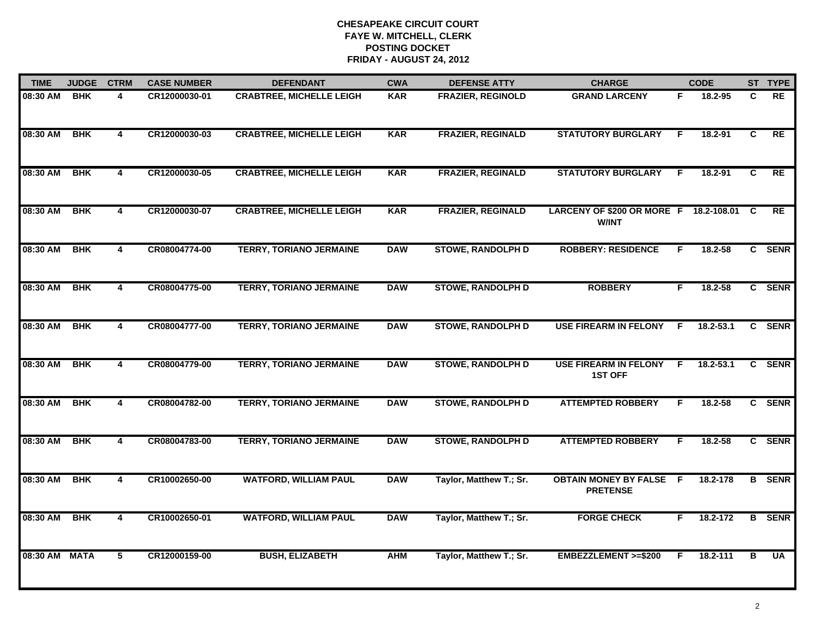| <b>TIME</b>   | <b>JUDGE</b> | <b>CTRM</b>             | <b>CASE NUMBER</b> | <b>DEFENDANT</b>                | <b>CWA</b> | <b>DEFENSE ATTY</b>      | <b>CHARGE</b>                                            |    | <b>CODE</b> |    | ST TYPE       |
|---------------|--------------|-------------------------|--------------------|---------------------------------|------------|--------------------------|----------------------------------------------------------|----|-------------|----|---------------|
| 08:30 AM      | <b>BHK</b>   | 4                       | CR12000030-01      | <b>CRABTREE, MICHELLE LEIGH</b> | <b>KAR</b> | <b>FRAZIER, REGINOLD</b> | <b>GRAND LARCENY</b>                                     | F. | 18.2-95     | C  | <b>RE</b>     |
| 08:30 AM      | <b>BHK</b>   | $\overline{\mathbf{4}}$ | CR12000030-03      | <b>CRABTREE, MICHELLE LEIGH</b> | <b>KAR</b> | <b>FRAZIER, REGINALD</b> | <b>STATUTORY BURGLARY</b>                                | F. | 18.2-91     | C  | RE            |
| 08:30 AM      | <b>BHK</b>   | 4                       | CR12000030-05      | <b>CRABTREE, MICHELLE LEIGH</b> | <b>KAR</b> | <b>FRAZIER, REGINALD</b> | <b>STATUTORY BURGLARY</b>                                | -F | 18.2-91     | C. | RE            |
| 08:30 AM      | <b>BHK</b>   | 4                       | CR12000030-07      | <b>CRABTREE, MICHELLE LEIGH</b> | <b>KAR</b> | <b>FRAZIER, REGINALD</b> | LARCENY OF \$200 OR MORE F 18.2-108.01 C<br><b>W/INT</b> |    |             |    | <b>RE</b>     |
| 08:30 AM      | <b>BHK</b>   | 4                       | CR08004774-00      | <b>TERRY, TORIANO JERMAINE</b>  | <b>DAW</b> | <b>STOWE, RANDOLPH D</b> | <b>ROBBERY: RESIDENCE</b>                                | F  | $18.2 - 58$ |    | C SENR        |
| 08:30 AM      | <b>BHK</b>   | 4                       | CR08004775-00      | <b>TERRY, TORIANO JERMAINE</b>  | <b>DAW</b> | <b>STOWE, RANDOLPH D</b> | <b>ROBBERY</b>                                           | F. | 18.2-58     |    | C SENR        |
| 08:30 AM      | <b>BHK</b>   | 4                       | CR08004777-00      | <b>TERRY, TORIANO JERMAINE</b>  | <b>DAW</b> | <b>STOWE, RANDOLPH D</b> | <b>USE FIREARM IN FELONY</b>                             | F. | 18.2-53.1   | C. | <b>SENR</b>   |
| 08:30 AM      | <b>BHK</b>   | 4                       | CR08004779-00      | <b>TERRY, TORIANO JERMAINE</b>  | <b>DAW</b> | <b>STOWE, RANDOLPH D</b> | <b>USE FIREARM IN FELONY</b><br><b>1ST OFF</b>           | -F | 18.2-53.1   |    | C SENR        |
| 08:30 AM      | <b>BHK</b>   | 4                       | CR08004782-00      | <b>TERRY, TORIANO JERMAINE</b>  | <b>DAW</b> | <b>STOWE, RANDOLPH D</b> | <b>ATTEMPTED ROBBERY</b>                                 | F  | $18.2 - 58$ |    | C SENR        |
| 08:30 AM      | <b>BHK</b>   | 4                       | CR08004783-00      | <b>TERRY, TORIANO JERMAINE</b>  | <b>DAW</b> | <b>STOWE, RANDOLPH D</b> | <b>ATTEMPTED ROBBERY</b>                                 | F  | $18.2 - 58$ |    | C SENR        |
| 08:30 AM      | <b>BHK</b>   | 4                       | CR10002650-00      | <b>WATFORD, WILLIAM PAUL</b>    | <b>DAW</b> | Taylor, Matthew T.; Sr.  | <b>OBTAIN MONEY BY FALSE F</b><br><b>PRETENSE</b>        |    | 18.2-178    |    | <b>B</b> SENR |
| 08:30 AM      | <b>BHK</b>   | 4                       | CR10002650-01      | <b>WATFORD, WILLIAM PAUL</b>    | <b>DAW</b> | Taylor, Matthew T.; Sr.  | <b>FORGE CHECK</b>                                       | F. | 18.2-172    |    | <b>B</b> SENR |
| 08:30 AM MATA |              | 5                       | CR12000159-00      | <b>BUSH, ELIZABETH</b>          | <b>AHM</b> | Taylor, Matthew T.; Sr.  | <b>EMBEZZLEMENT &gt;=\$200</b>                           | F. | 18.2-111    | в  | <b>UA</b>     |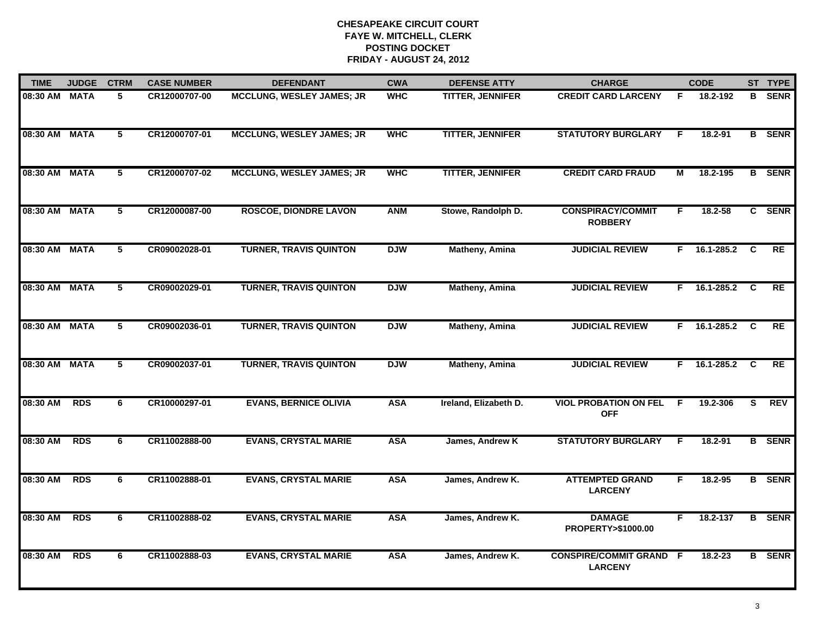| <b>TIME</b>   | <b>JUDGE</b> | <b>CTRM</b> | <b>CASE NUMBER</b> | <b>DEFENDANT</b>                 | <b>CWA</b> | <b>DEFENSE ATTY</b>     | <b>CHARGE</b>                                    |    | <b>CODE</b>        |              | ST TYPE       |
|---------------|--------------|-------------|--------------------|----------------------------------|------------|-------------------------|--------------------------------------------------|----|--------------------|--------------|---------------|
| 08:30 AM      | <b>MATA</b>  | 5.          | CR12000707-00      | <b>MCCLUNG, WESLEY JAMES; JR</b> | <b>WHC</b> | <b>TITTER, JENNIFER</b> | <b>CREDIT CARD LARCENY</b>                       | F. | 18.2-192           | в            | <b>SENR</b>   |
| 08:30 AM      | <b>MATA</b>  | 5           | CR12000707-01      | <b>MCCLUNG, WESLEY JAMES; JR</b> | <b>WHC</b> | <b>TITTER, JENNIFER</b> | <b>STATUTORY BURGLARY</b>                        | F. | 18.2-91            |              | <b>B</b> SENR |
| 08:30 AM MATA |              | 5           | CR12000707-02      | <b>MCCLUNG, WESLEY JAMES; JR</b> | <b>WHC</b> | <b>TITTER, JENNIFER</b> | <b>CREDIT CARD FRAUD</b>                         | М  | 18.2-195           |              | <b>B</b> SENR |
| 08:30 AM      | <b>MATA</b>  | 5           | CR12000087-00      | <b>ROSCOE, DIONDRE LAVON</b>     | <b>ANM</b> | Stowe, Randolph D.      | <b>CONSPIRACY/COMMIT</b><br><b>ROBBERY</b>       | F  | $18.2 - 58$        |              | C SENR        |
| 08:30 AM      | <b>MATA</b>  | 5           | CR09002028-01      | <b>TURNER, TRAVIS QUINTON</b>    | <b>DJW</b> | <b>Matheny, Amina</b>   | <b>JUDICIAL REVIEW</b>                           | F. | 16.1-285.2         | C            | <b>RE</b>     |
| 08:30 AM      | <b>MATA</b>  | 5           | CR09002029-01      | <b>TURNER, TRAVIS QUINTON</b>    | <b>DJW</b> | Matheny, Amina          | <b>JUDICIAL REVIEW</b>                           |    | $F = 16.1 - 285.2$ | <b>C</b>     | <b>RE</b>     |
| 08:30 AM MATA |              | 5           | CR09002036-01      | <b>TURNER, TRAVIS QUINTON</b>    | <b>DJW</b> | <b>Matheny, Amina</b>   | <b>JUDICIAL REVIEW</b>                           |    | $F = 16.1 - 285.2$ | $\mathbf{C}$ | RE            |
| 08:30 AM MATA |              | 5           | CR09002037-01      | <b>TURNER, TRAVIS QUINTON</b>    | <b>DJW</b> | <b>Matheny, Amina</b>   | <b>JUDICIAL REVIEW</b>                           |    | F 16.1-285.2       | C            | RE            |
| 08:30 AM      | <b>RDS</b>   | 6           | CR10000297-01      | <b>EVANS, BERNICE OLIVIA</b>     | <b>ASA</b> | Ireland, Elizabeth D.   | <b>VIOL PROBATION ON FEL</b><br><b>OFF</b>       | F  | 19.2-306           | S            | <b>REV</b>    |
| 08:30 AM      | <b>RDS</b>   | 6           | CR11002888-00      | <b>EVANS, CRYSTAL MARIE</b>      | <b>ASA</b> | James, Andrew K         | <b>STATUTORY BURGLARY</b>                        | F  | $18.2 - 91$        |              | <b>B</b> SENR |
| 08:30 AM      | <b>RDS</b>   | 6           | CR11002888-01      | <b>EVANS, CRYSTAL MARIE</b>      | <b>ASA</b> | James, Andrew K.        | <b>ATTEMPTED GRAND</b><br><b>LARCENY</b>         | F. | 18.2-95            |              | <b>B</b> SENR |
| 08:30 AM      | <b>RDS</b>   | 6           | CR11002888-02      | <b>EVANS, CRYSTAL MARIE</b>      | <b>ASA</b> | James, Andrew K.        | <b>DAMAGE</b><br>PROPERTY>\$1000.00              | F. | 18.2-137           |              | <b>B</b> SENR |
| 08:30 AM      | <b>RDS</b>   | 6           | CR11002888-03      | <b>EVANS, CRYSTAL MARIE</b>      | <b>ASA</b> | James, Andrew K.        | <b>CONSPIRE/COMMIT GRAND F</b><br><b>LARCENY</b> |    | 18.2-23            |              | <b>B</b> SENR |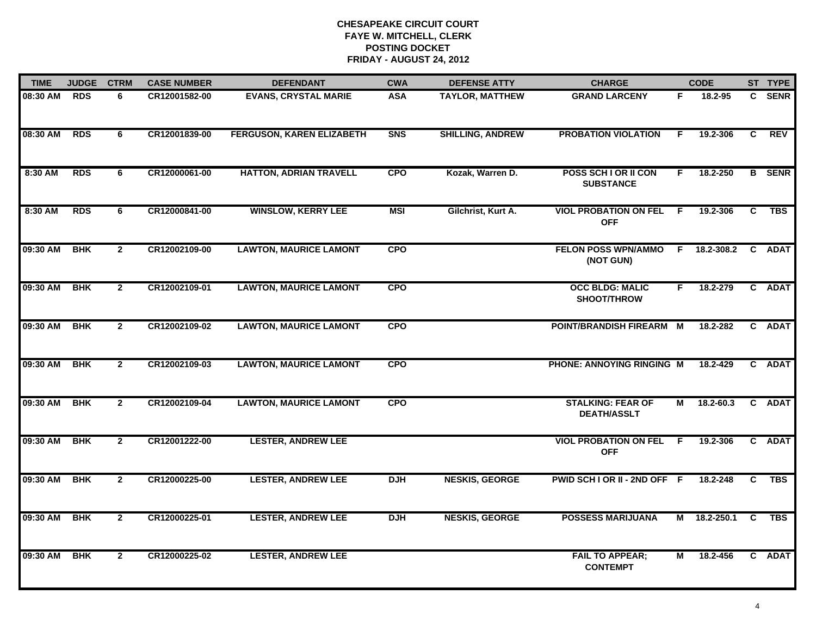| <b>TIME</b> | <b>JUDGE</b> | <b>CTRM</b>    | <b>CASE NUMBER</b> | <b>DEFENDANT</b>                 | <b>CWA</b> | <b>DEFENSE ATTY</b>     | <b>CHARGE</b>                                  |              | <b>CODE</b>  |                | ST TYPE       |
|-------------|--------------|----------------|--------------------|----------------------------------|------------|-------------------------|------------------------------------------------|--------------|--------------|----------------|---------------|
| 08:30 AM    | <b>RDS</b>   | 6              | CR12001582-00      | <b>EVANS, CRYSTAL MARIE</b>      | <b>ASA</b> | <b>TAYLOR, MATTHEW</b>  | <b>GRAND LARCENY</b>                           | F.           | 18.2-95      |                | C SENR        |
| 08:30 AM    | <b>RDS</b>   | 6              | CR12001839-00      | <b>FERGUSON, KAREN ELIZABETH</b> | <b>SNS</b> | <b>SHILLING, ANDREW</b> | <b>PROBATION VIOLATION</b>                     | F            | 19.2-306     | C              | <b>REV</b>    |
| 8:30 AM     | <b>RDS</b>   | 6              | CR12000061-00      | <b>HATTON, ADRIAN TRAVELL</b>    | <b>CPO</b> | Kozak, Warren D.        | POSS SCH I OR II CON<br><b>SUBSTANCE</b>       | F.           | 18.2-250     |                | <b>B</b> SENR |
| 8:30 AM     | <b>RDS</b>   | 6              | CR12000841-00      | <b>WINSLOW, KERRY LEE</b>        | <b>MSI</b> | Gilchrist, Kurt A.      | <b>VIOL PROBATION ON FEL F</b><br><b>OFF</b>   |              | 19.2-306     | C              | <b>TBS</b>    |
| 09:30 AM    | <b>BHK</b>   | $\overline{2}$ | CR12002109-00      | <b>LAWTON, MAURICE LAMONT</b>    | <b>CPO</b> |                         | <b>FELON POSS WPN/AMMO</b><br>(NOT GUN)        |              | F 18.2-308.2 | $\mathbf{c}$   | <b>ADAT</b>   |
| 09:30 AM    | <b>BHK</b>   | $\overline{2}$ | CR12002109-01      | <b>LAWTON, MAURICE LAMONT</b>    | <b>CPO</b> |                         | <b>OCC BLDG: MALIC</b><br>SHOOT/THROW          | F.           | 18.2-279     |                | C ADAT        |
| 09:30 AM    | <b>BHK</b>   | $\mathbf{2}$   | CR12002109-02      | <b>LAWTON, MAURICE LAMONT</b>    | <b>CPO</b> |                         | POINT/BRANDISH FIREARM M                       |              | 18.2-282     |                | C ADAT        |
| 09:30 AM    | <b>BHK</b>   | $\mathbf{2}$   | CR12002109-03      | <b>LAWTON, MAURICE LAMONT</b>    | <b>CPO</b> |                         | PHONE: ANNOYING RINGING M                      |              | 18.2-429     |                | C ADAT        |
| 09:30 AM    | <b>BHK</b>   | $\overline{2}$ | CR12002109-04      | <b>LAWTON, MAURICE LAMONT</b>    | <b>CPO</b> |                         | <b>STALKING: FEAR OF</b><br><b>DEATH/ASSLT</b> | м            | 18.2-60.3    | $\mathbf{c}$   | <b>ADAT</b>   |
| 09:30 AM    | <b>BHK</b>   | $\overline{2}$ | CR12001222-00      | <b>LESTER, ANDREW LEE</b>        |            |                         | <b>VIOL PROBATION ON FEL</b><br><b>OFF</b>     | $\mathsf{F}$ | 19.2-306     |                | C ADAT        |
| 09:30 AM    | <b>BHK</b>   | $\overline{2}$ | CR12000225-00      | <b>LESTER, ANDREW LEE</b>        | <b>DJH</b> | <b>NESKIS, GEORGE</b>   | PWID SCH I OR II - 2ND OFF F                   |              | 18.2-248     | $\overline{c}$ | <b>TBS</b>    |
| 09:30 AM    | <b>BHK</b>   | $\overline{2}$ | CR12000225-01      | <b>LESTER, ANDREW LEE</b>        | <b>DJH</b> | <b>NESKIS, GEORGE</b>   | <b>POSSESS MARIJUANA</b>                       | М            | 18.2-250.1   | C              | <b>TBS</b>    |
| 09:30 AM    | <b>BHK</b>   | $\mathbf{2}$   | CR12000225-02      | <b>LESTER, ANDREW LEE</b>        |            |                         | <b>FAIL TO APPEAR;</b><br><b>CONTEMPT</b>      | Μ            | 18.2-456     | C.             | <b>ADAT</b>   |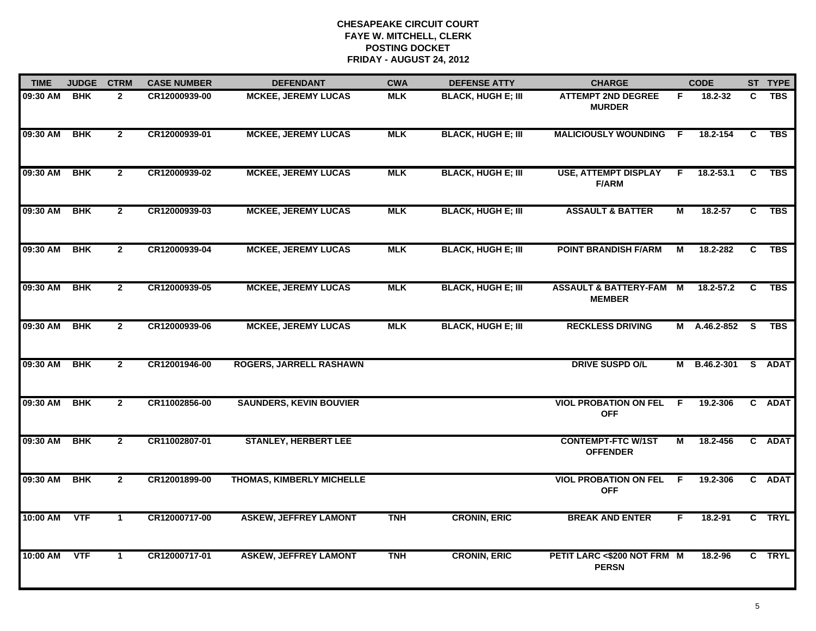| <b>TIME</b> | <b>JUDGE</b> | <b>CTRM</b>    | <b>CASE NUMBER</b> | <b>DEFENDANT</b>                 | <b>CWA</b> | <b>DEFENSE ATTY</b>       | <b>CHARGE</b>                                     |              | <b>CODE</b>         |                | ST TYPE    |
|-------------|--------------|----------------|--------------------|----------------------------------|------------|---------------------------|---------------------------------------------------|--------------|---------------------|----------------|------------|
| 09:30 AM    | <b>BHK</b>   | $\mathbf{2}$   | CR12000939-00      | <b>MCKEE, JEREMY LUCAS</b>       | <b>MLK</b> | <b>BLACK, HUGH E; III</b> | <b>ATTEMPT 2ND DEGREE</b><br><b>MURDER</b>        | F.           | 18.2-32             | C.             | <b>TBS</b> |
| 09:30 AM    | <b>BHK</b>   | $\overline{2}$ | CR12000939-01      | <b>MCKEE, JEREMY LUCAS</b>       | <b>MLK</b> | <b>BLACK, HUGH E; III</b> | <b>MALICIOUSLY WOUNDING</b>                       | $\mathsf{F}$ | 18.2-154            | C              | TBS        |
| 09:30 AM    | BHK          | $\mathbf{2}$   | CR12000939-02      | <b>MCKEE, JEREMY LUCAS</b>       | <b>MLK</b> | <b>BLACK, HUGH E; III</b> | <b>USE, ATTEMPT DISPLAY</b><br><b>F/ARM</b>       | F.           | $18.2 - 53.1$       | C              | TBS        |
| 09:30 AM    | <b>BHK</b>   | $\mathbf{2}$   | CR12000939-03      | <b>MCKEE, JEREMY LUCAS</b>       | <b>MLK</b> | <b>BLACK, HUGH E; III</b> | <b>ASSAULT &amp; BATTER</b>                       | М            | 18.2-57             | C              | <b>TBS</b> |
| 09:30 AM    | <b>BHK</b>   | $\mathbf{2}$   | CR12000939-04      | <b>MCKEE, JEREMY LUCAS</b>       | <b>MLK</b> | <b>BLACK, HUGH E; III</b> | <b>POINT BRANDISH F/ARM</b>                       | М            | 18.2-282            | C              | <b>TBS</b> |
| 09:30 AM    | <b>BHK</b>   | $\overline{2}$ | CR12000939-05      | <b>MCKEE, JEREMY LUCAS</b>       | <b>MLK</b> | <b>BLACK, HUGH E; III</b> | <b>ASSAULT &amp; BATTERY-FAM</b><br><b>MEMBER</b> | M            | $18.2 - 57.2$       | C.             | <b>TBS</b> |
| 09:30 AM    | <b>BHK</b>   | $\overline{2}$ | CR12000939-06      | <b>MCKEE, JEREMY LUCAS</b>       | <b>MLK</b> | <b>BLACK, HUGH E; III</b> | <b>RECKLESS DRIVING</b>                           |              | M A.46.2-852        | $\overline{s}$ | <b>TBS</b> |
| 09:30 AM    | <b>BHK</b>   | $\mathbf{2}$   | CR12001946-00      | <b>ROGERS, JARRELL RASHAWN</b>   |            |                           | <b>DRIVE SUSPD O/L</b>                            |              | M B.46.2-301 S ADAT |                |            |
| 09:30 AM    | <b>BHK</b>   | $\mathbf{2}$   | CR11002856-00      | <b>SAUNDERS, KEVIN BOUVIER</b>   |            |                           | <b>VIOL PROBATION ON FEL</b><br><b>OFF</b>        | - F          | 19.2-306            |                | C ADAT     |
| 09:30 AM    | <b>BHK</b>   | $\overline{2}$ | CR11002807-01      | <b>STANLEY, HERBERT LEE</b>      |            |                           | <b>CONTEMPT-FTC W/1ST</b><br><b>OFFENDER</b>      | М            | 18.2-456            |                | C ADAT     |
| 09:30 AM    | BHK          | $\overline{2}$ | CR12001899-00      | <b>THOMAS, KIMBERLY MICHELLE</b> |            |                           | <b>VIOL PROBATION ON FEL</b><br><b>OFF</b>        | $\mathsf{F}$ | 19.2-306            |                | C ADAT     |
| 10:00 AM    | <b>VTF</b>   | $\mathbf{1}$   | CR12000717-00      | <b>ASKEW, JEFFREY LAMONT</b>     | <b>TNH</b> | <b>CRONIN, ERIC</b>       | <b>BREAK AND ENTER</b>                            | F            | 18.2-91             |                | C TRYL     |
| 10:00 AM    | <b>VTF</b>   | 1              | CR12000717-01      | <b>ASKEW, JEFFREY LAMONT</b>     | <b>TNH</b> | <b>CRONIN, ERIC</b>       | PETIT LARC <\$200 NOT FRM M<br><b>PERSN</b>       |              | 18.2-96             |                | C TRYL     |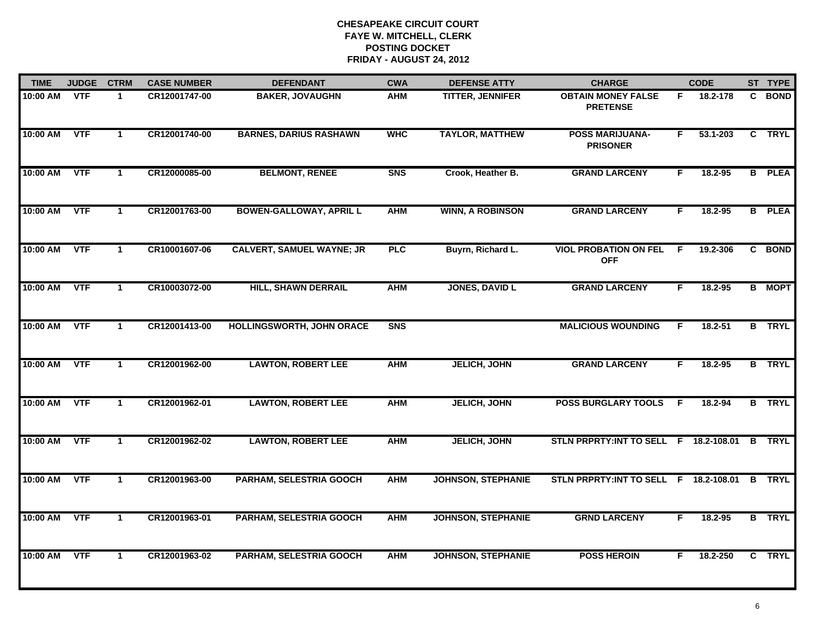| 10:00 AM | <b>VTF</b> | 1                    | CR12001747-00 | <b>BAKER, JOVAUGHN</b>           |                |                           |                                              |     |             |                |               |
|----------|------------|----------------------|---------------|----------------------------------|----------------|---------------------------|----------------------------------------------|-----|-------------|----------------|---------------|
|          |            |                      |               |                                  | <b>AHM</b>     | <b>TITTER, JENNIFER</b>   | <b>OBTAIN MONEY FALSE</b><br><b>PRETENSE</b> | F.  | 18.2-178    | C              | <b>BOND</b>   |
| 10:00 AM | <b>VTF</b> | $\mathbf{1}$         | CR12001740-00 | <b>BARNES, DARIUS RASHAWN</b>    | <b>WHC</b>     | <b>TAYLOR, MATTHEW</b>    | <b>POSS MARIJUANA-</b><br><b>PRISONER</b>    | F.  | 53.1-203    |                | C TRYL        |
| 10:00 AM | <b>VTF</b> | $\blacktriangleleft$ | CR12000085-00 | <b>BELMONT, RENEE</b>            | <b>SNS</b>     | Crook, Heather B.         | <b>GRAND LARCENY</b>                         | F.  | 18.2-95     |                | <b>B</b> PLEA |
| 10:00 AM | <b>VTF</b> | $\mathbf{1}$         | CR12001763-00 | <b>BOWEN-GALLOWAY, APRIL L</b>   | <b>AHM</b>     | <b>WINN, A ROBINSON</b>   | <b>GRAND LARCENY</b>                         | F   | 18.2-95     |                | <b>B</b> PLEA |
| 10:00 AM | <b>VTF</b> | $\mathbf{1}$         | CR10001607-06 | <b>CALVERT, SAMUEL WAYNE; JR</b> | <b>PLC</b>     | Buyrn, Richard L.         | <b>VIOL PROBATION ON FEL F</b><br><b>OFF</b> |     | 19.2-306    |                | C BOND        |
| 10:00 AM | <b>VTF</b> | $\mathbf{1}$         | CR10003072-00 | <b>HILL, SHAWN DERRAIL</b>       | <b>AHM</b>     | <b>JONES, DAVID L</b>     | <b>GRAND LARCENY</b>                         | F.  | 18.2-95     |                | <b>B</b> MOPT |
| 10:00 AM | <b>VTF</b> | $\mathbf 1$          | CR12001413-00 | HOLLINGSWORTH, JOHN ORACE        | S <sub>N</sub> |                           | <b>MALICIOUS WOUNDING</b>                    | F.  | $18.2 - 51$ |                | <b>B</b> TRYL |
| 10:00 AM | <b>VTF</b> | $\mathbf{1}$         | CR12001962-00 | <b>LAWTON, ROBERT LEE</b>        | <b>AHM</b>     | <b>JELICH, JOHN</b>       | <b>GRAND LARCENY</b>                         | F.  | 18.2-95     |                | <b>B</b> TRYL |
| 10:00 AM | <b>VTF</b> | $\mathbf{1}$         | CR12001962-01 | <b>LAWTON, ROBERT LEE</b>        | <b>AHM</b>     | <b>JELICH, JOHN</b>       | <b>POSS BURGLARY TOOLS</b>                   | - F | 18.2-94     |                | <b>B</b> TRYL |
| 10:00 AM | <b>VTF</b> | $\blacktriangleleft$ | CR12001962-02 | <b>LAWTON, ROBERT LEE</b>        | <b>AHM</b>     | <b>JELICH, JOHN</b>       | STLN PRPRTY: INT TO SELL F 18.2-108.01       |     |             |                | <b>B</b> TRYL |
| 10:00 AM | <b>VTF</b> | $\mathbf 1$          | CR12001963-00 | <b>PARHAM, SELESTRIA GOOCH</b>   | <b>AHM</b>     | <b>JOHNSON, STEPHANIE</b> | STLN PRPRTY: INT TO SELL F 18.2-108.01       |     |             | $\overline{B}$ | <b>TRYL</b>   |
| 10:00 AM | <b>VTF</b> | $\mathbf 1$          | CR12001963-01 | <b>PARHAM, SELESTRIA GOOCH</b>   | <b>AHM</b>     | <b>JOHNSON, STEPHANIE</b> | <b>GRND LARCENY</b>                          | F.  | 18.2-95     |                | <b>B</b> TRYL |
| 10:00 AM | <b>VTF</b> | $\mathbf 1$          | CR12001963-02 | PARHAM, SELESTRIA GOOCH          | <b>AHM</b>     | <b>JOHNSON, STEPHANIE</b> | <b>POSS HEROIN</b>                           | F.  | 18.2-250    |                | C TRYL        |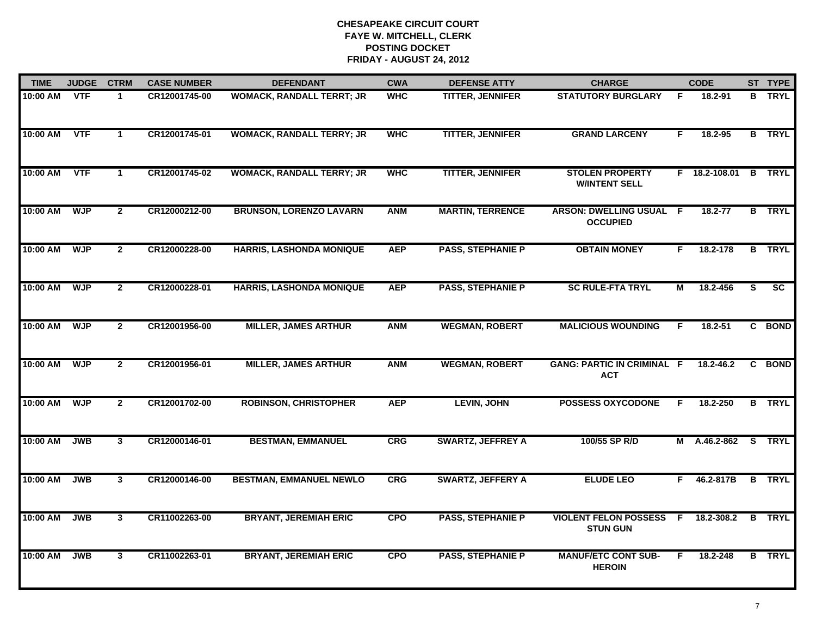| <b>TIME</b> | <b>JUDGE</b> | <b>CTRM</b>             | <b>CASE NUMBER</b> | <b>DEFENDANT</b>                 | <b>CWA</b> | <b>DEFENSE ATTY</b>      | <b>CHARGE</b>                                     |    | <b>CODE</b>          |    | ST TYPE                |
|-------------|--------------|-------------------------|--------------------|----------------------------------|------------|--------------------------|---------------------------------------------------|----|----------------------|----|------------------------|
| 10:00 AM    | <b>VTF</b>   | 1.                      | CR12001745-00      | <b>WOMACK, RANDALL TERRT; JR</b> | <b>WHC</b> | <b>TITTER, JENNIFER</b>  | <b>STATUTORY BURGLARY</b>                         | F. | 18.2-91              |    | <b>B</b> TRYL          |
| $10:00$ AM  | VTF          | $\mathbf{1}$            | CR12001745-01      | <b>WOMACK, RANDALL TERRY; JR</b> | <b>WHC</b> | <b>TITTER, JENNIFER</b>  | <b>GRAND LARCENY</b>                              | F. | 18.2-95              |    | <b>B</b> TRYL          |
| 10:00 AM    | <b>VTF</b>   | $\mathbf{1}$            | CR12001745-02      | <b>WOMACK, RANDALL TERRY; JR</b> | <b>WHC</b> | <b>TITTER, JENNIFER</b>  | <b>STOLEN PROPERTY</b><br><b>W/INTENT SELL</b>    |    | F 18.2-108.01 B TRYL |    |                        |
| 10:00 AM    | <b>WJP</b>   | $\mathbf{2}$            | CR12000212-00      | <b>BRUNSON, LORENZO LAVARN</b>   | <b>ANM</b> | <b>MARTIN, TERRENCE</b>  | <b>ARSON: DWELLING USUAL F</b><br><b>OCCUPIED</b> |    | 18.2-77              |    | <b>B</b> TRYL          |
| 10:00 AM    | <b>WJP</b>   | $\mathbf{2}$            | CR12000228-00      | <b>HARRIS, LASHONDA MONIQUE</b>  | <b>AEP</b> | <b>PASS, STEPHANIE P</b> | <b>OBTAIN MONEY</b>                               | F. | 18.2-178             |    | <b>B</b> TRYL          |
| 10:00 AM    | <b>WJP</b>   | $\mathbf{2}$            | CR12000228-01      | <b>HARRIS, LASHONDA MONIQUE</b>  | <b>AEP</b> | <b>PASS, STEPHANIE P</b> | <b>SC RULE-FTA TRYL</b>                           | М  | 18.2-456             | S. | $\overline{\text{sc}}$ |
| 10:00 AM    | <b>WJP</b>   | $\overline{2}$          | CR12001956-00      | <b>MILLER, JAMES ARTHUR</b>      | <b>ANM</b> | <b>WEGMAN, ROBERT</b>    | <b>MALICIOUS WOUNDING</b>                         | F. | $18.2 - 51$          |    | C BOND                 |
| 10:00 AM    | <b>WJP</b>   | $\mathbf{2}$            | CR12001956-01      | <b>MILLER, JAMES ARTHUR</b>      | <b>ANM</b> | <b>WEGMAN, ROBERT</b>    | <b>GANG: PARTIC IN CRIMINAL F</b><br><b>ACT</b>   |    | 18.2-46.2            |    | C BOND                 |
| 10:00 AM    | <b>WJP</b>   | $\overline{2}$          | CR12001702-00      | <b>ROBINSON, CHRISTOPHER</b>     | <b>AEP</b> | <b>LEVIN, JOHN</b>       | <b>POSSESS OXYCODONE</b>                          | F  | 18.2-250             |    | <b>B</b> TRYL          |
| 10:00 AM    | <b>JWB</b>   | $\mathbf{3}$            | CR12000146-01      | <b>BESTMAN, EMMANUEL</b>         | CRG        | <b>SWARTZ, JEFFREY A</b> | 100/55 SP R/D                                     |    | M A.46.2-862 S TRYL  |    |                        |
| 10:00 AM    | <b>JWB</b>   | $\overline{3}$          | CR12000146-00      | <b>BESTMAN, EMMANUEL NEWLO</b>   | <b>CRG</b> | <b>SWARTZ, JEFFERY A</b> | <b>ELUDE LEO</b>                                  |    | $F = 46.2 - 817B$    |    | <b>B</b> TRYL          |
| 10:00 AM    | <b>JWB</b>   | $\overline{\mathbf{3}}$ | CR11002263-00      | <b>BRYANT, JEREMIAH ERIC</b>     | <b>CPO</b> | <b>PASS, STEPHANIE P</b> | <b>VIOLENT FELON POSSESS</b><br><b>STUN GUN</b>   |    | $F$ 18.2-308.2       |    | <b>B</b> TRYL          |
| 10:00 AM    | <b>JWB</b>   | 3                       | CR11002263-01      | <b>BRYANT, JEREMIAH ERIC</b>     | <b>CPO</b> | <b>PASS, STEPHANIE P</b> | <b>MANUF/ETC CONT SUB-</b><br><b>HEROIN</b>       | F. | 18.2-248             |    | <b>B</b> TRYL          |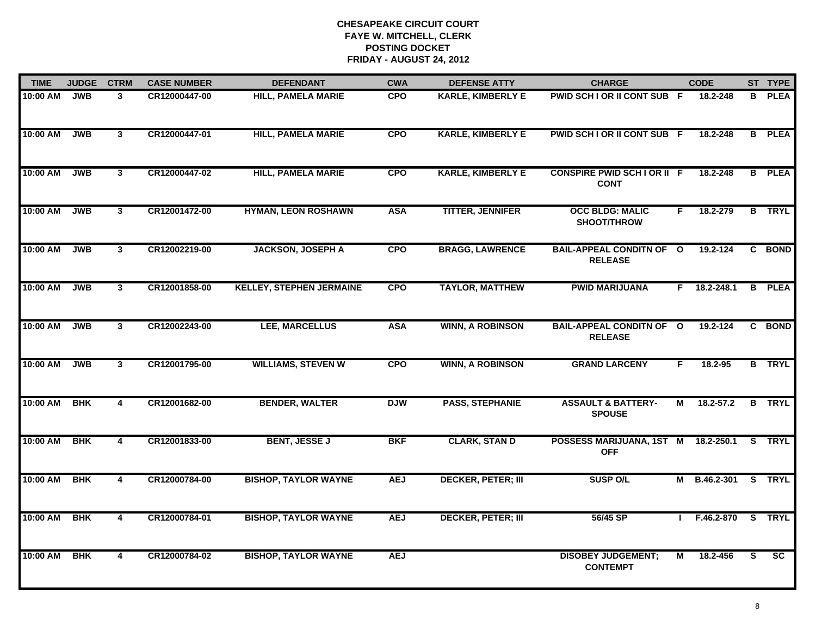| <b>TIME</b> | <b>JUDGE</b> | <b>CTRM</b>    | <b>CASE NUMBER</b> | <b>DEFENDANT</b>                | <b>CWA</b> | <b>DEFENSE ATTY</b>       | <b>CHARGE</b>                                     |    | <b>CODE</b>         |    | ST TYPE         |
|-------------|--------------|----------------|--------------------|---------------------------------|------------|---------------------------|---------------------------------------------------|----|---------------------|----|-----------------|
| 10:00 AM    | <b>JWB</b>   | 3              | CR12000447-00      | <b>HILL, PAMELA MARIE</b>       | <b>CPO</b> | <b>KARLE, KIMBERLY E</b>  | PWID SCH I OR II CONT SUB F                       |    | 18.2-248            | B  | <b>PLEA</b>     |
| 10:00 AM    | <b>JWB</b>   | $\mathbf{3}$   | CR12000447-01      | <b>HILL, PAMELA MARIE</b>       | <b>CPO</b> | <b>KARLE, KIMBERLY E</b>  | PWID SCH I OR II CONT SUB F                       |    | 18.2-248            | B. | <b>PLEA</b>     |
| 10:00 AM    | <b>JWB</b>   | $\overline{3}$ | CR12000447-02      | <b>HILL, PAMELA MARIE</b>       | <b>CPO</b> | <b>KARLE, KIMBERLY E</b>  | <b>CONSPIRE PWID SCH I OR II F</b><br><b>CONT</b> |    | 18.2-248            |    | <b>B</b> PLEA   |
| 10:00 AM    | <b>JWB</b>   | 3              | CR12001472-00      | <b>HYMAN, LEON ROSHAWN</b>      | <b>ASA</b> | <b>TITTER, JENNIFER</b>   | <b>OCC BLDG: MALIC</b><br>SHOOT/THROW             | F. | 18.2-279            |    | <b>B</b> TRYL   |
| 10:00 AM    | <b>JWB</b>   | $\mathbf{3}$   | CR12002219-00      | <b>JACKSON, JOSEPH A</b>        | <b>CPO</b> | <b>BRAGG, LAWRENCE</b>    | <b>BAIL-APPEAL CONDITN OF O</b><br><b>RELEASE</b> |    | 19.2-124            | C. | <b>BOND</b>     |
| 10:00 AM    | <b>JWB</b>   | 3              | CR12001858-00      | <b>KELLEY, STEPHEN JERMAINE</b> | <b>CPO</b> | <b>TAYLOR, MATTHEW</b>    | <b>PWID MARIJUANA</b>                             |    | $F$ 18.2-248.1      | В  | <b>PLEA</b>     |
| 10:00 AM    | <b>JWB</b>   | $\overline{3}$ | CR12002243-00      | LEE, MARCELLUS                  | <b>ASA</b> | <b>WINN, A ROBINSON</b>   | <b>BAIL-APPEAL CONDITN OF O</b><br><b>RELEASE</b> |    | 19.2-124            | C. | <b>BOND</b>     |
| 10:00 AM    | <b>JWB</b>   | $\overline{3}$ | CR12001795-00      | <b>WILLIAMS, STEVEN W</b>       | <b>CPO</b> | <b>WINN, A ROBINSON</b>   | <b>GRAND LARCENY</b>                              | F  | 18.2-95             |    | <b>B</b> TRYL   |
| 10:00 AM    | <b>BHK</b>   | 4              | CR12001682-00      | <b>BENDER, WALTER</b>           | <b>DJW</b> | <b>PASS, STEPHANIE</b>    | <b>ASSAULT &amp; BATTERY-</b><br><b>SPOUSE</b>    | М  | $18.2 - 57.2$       | B  | <b>TRYL</b>     |
| 10:00 AM    | <b>BHK</b>   | 4              | CR12001833-00      | <b>BENT, JESSE J</b>            | <b>BKF</b> | <b>CLARK, STAN D</b>      | POSSESS MARIJUANA, 1ST M<br><b>OFF</b>            |    | 18.2-250.1          |    | S TRYL          |
| 10:00 AM    | <b>BHK</b>   | 4              | CR12000784-00      | <b>BISHOP, TAYLOR WAYNE</b>     | <b>AEJ</b> | <b>DECKER, PETER; III</b> | <b>SUSP O/L</b>                                   |    | M B.46.2-301 S TRYL |    |                 |
| 10:00 AM    | <b>BHK</b>   | 4              | CR12000784-01      | <b>BISHOP, TAYLOR WAYNE</b>     | <b>AEJ</b> | <b>DECKER, PETER; III</b> | 56/45 SP                                          |    | F.46.2-870 S TRYL   |    |                 |
| 10:00 AM    | <b>BHK</b>   | 4              | CR12000784-02      | <b>BISHOP, TAYLOR WAYNE</b>     | <b>AEJ</b> |                           | <b>DISOBEY JUDGEMENT;</b><br><b>CONTEMPT</b>      | М  | 18.2-456            | S  | $\overline{SC}$ |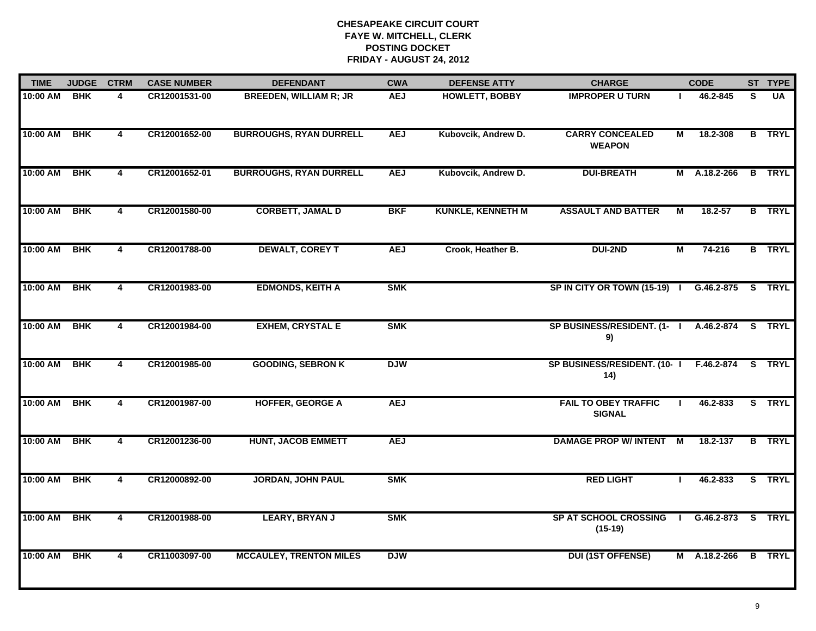| <b>TIME</b> | <b>JUDGE</b> | <b>CTRM</b>             | <b>CASE NUMBER</b> | <b>DEFENDANT</b>               | <b>CWA</b> | <b>DEFENSE ATTY</b>      | <b>CHARGE</b>                                |   | <b>CODE</b>   |          | ST TYPE       |
|-------------|--------------|-------------------------|--------------------|--------------------------------|------------|--------------------------|----------------------------------------------|---|---------------|----------|---------------|
| 10:00 AM    | <b>BHK</b>   | 4                       | CR12001531-00      | <b>BREEDEN, WILLIAM R; JR</b>  | <b>AEJ</b> | <b>HOWLETT, BOBBY</b>    | <b>IMPROPER U TURN</b>                       |   | 46.2-845      | S        | <b>UA</b>     |
| 10:00 AM    | <b>BHK</b>   | 4                       | CR12001652-00      | <b>BURROUGHS, RYAN DURRELL</b> | <b>AEJ</b> | Kubovcik, Andrew D.      | <b>CARRY CONCEALED</b><br><b>WEAPON</b>      | М | 18.2-308      |          | <b>B</b> TRYL |
| 10:00 AM    | <b>BHK</b>   | 4                       | CR12001652-01      | <b>BURROUGHS, RYAN DURRELL</b> | <b>AEJ</b> | Kubovcik, Andrew D.      | <b>DUI-BREATH</b>                            |   | M A.18.2-266  |          | <b>B</b> TRYL |
| 10:00 AM    | <b>BHK</b>   | 4                       | CR12001580-00      | <b>CORBETT, JAMAL D</b>        | <b>BKF</b> | <b>KUNKLE, KENNETH M</b> | <b>ASSAULT AND BATTER</b>                    | M | $18.2 - 57$   |          | <b>B</b> TRYL |
| 10:00 AM    | <b>BHK</b>   | 4                       | CR12001788-00      | <b>DEWALT, COREY T</b>         | <b>AEJ</b> | Crook, Heather B.        | <b>DUI-2ND</b>                               | М | 74-216        |          | <b>B</b> TRYL |
| 10:00 AM    | <b>BHK</b>   | 4                       | CR12001983-00      | <b>EDMONDS, KEITH A</b>        | <b>SMK</b> |                          | SP IN CITY OR TOWN (15-19) I                 |   | G.46.2-875    | <b>S</b> | TRYL          |
| 10:00 AM    | <b>BHK</b>   | $\overline{\mathbf{4}}$ | CR12001984-00      | <b>EXHEM, CRYSTAL E</b>        | <b>SMK</b> |                          | SP BUSINESS/RESIDENT. (1- I<br>9)            |   | A.46.2-874    |          | S TRYL        |
| 10:00 AM    | <b>BHK</b>   | 4                       | CR12001985-00      | <b>GOODING, SEBRON K</b>       | <b>DJW</b> |                          | SP BUSINESS/RESIDENT. (10-1<br>14)           |   | F.46.2-874    |          | S TRYL        |
| 10:00 AM    | <b>BHK</b>   | 4                       | CR12001987-00      | <b>HOFFER, GEORGE A</b>        | <b>AEJ</b> |                          | <b>FAIL TO OBEY TRAFFIC</b><br><b>SIGNAL</b> |   | 46.2-833      |          | S TRYL        |
| 10:00 AM    | <b>BHK</b>   | 4                       | CR12001236-00      | <b>HUNT, JACOB EMMETT</b>      | <b>AEJ</b> |                          | <b>DAMAGE PROP W/ INTENT</b>                 | M | 18.2-137      |          | <b>B</b> TRYL |
| 10:00 AM    | <b>BHK</b>   | 4                       | CR12000892-00      | <b>JORDAN, JOHN PAUL</b>       | <b>SMK</b> |                          | <b>RED LIGHT</b>                             |   | 46.2-833      |          | S TRYL        |
| 10:00 AM    | <b>BHK</b>   | $\overline{\mathbf{4}}$ | CR12001988-00      | <b>LEARY, BRYAN J</b>          | <b>SMK</b> |                          | SP AT SCHOOL CROSSING<br>$(15-19)$           |   | $IG.46.2-873$ |          | S TRYL        |
| 10:00 AM    | <b>BHK</b>   | 4                       | CR11003097-00      | <b>MCCAULEY, TRENTON MILES</b> | <b>DJW</b> |                          | <b>DUI (1ST OFFENSE)</b>                     |   | M A.18.2-266  |          | <b>B</b> TRYL |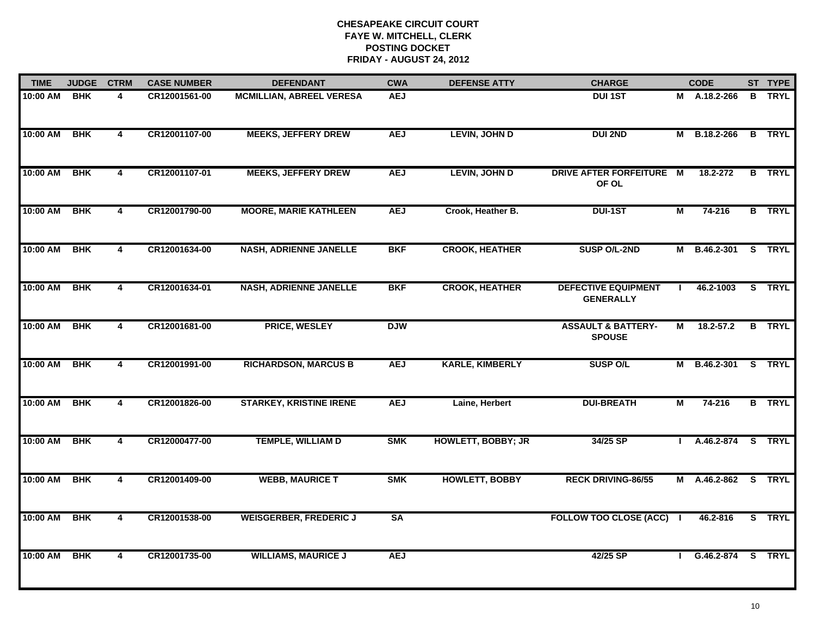| <b>TIME</b> | <b>JUDGE</b> | <b>CTRM</b>             | <b>CASE NUMBER</b> | <b>DEFENDANT</b>                | <b>CWA</b> | <b>DEFENSE ATTY</b>       | <b>CHARGE</b>                                  |   | <b>CODE</b>         |   | ST TYPE       |
|-------------|--------------|-------------------------|--------------------|---------------------------------|------------|---------------------------|------------------------------------------------|---|---------------------|---|---------------|
| 10:00 AM    | <b>BHK</b>   | 4                       | CR12001561-00      | <b>MCMILLIAN, ABREEL VERESA</b> | <b>AEJ</b> |                           | <b>DUI 1ST</b>                                 |   | M A.18.2-266        | В | <b>TRYL</b>   |
| 10:00 AM    | <b>BHK</b>   | $\overline{\mathbf{4}}$ | CR12001107-00      | <b>MEEKS, JEFFERY DREW</b>      | <b>AEJ</b> | <b>LEVIN, JOHN D</b>      | <b>DUI 2ND</b>                                 |   | M B.18.2-266        |   | <b>B</b> TRYL |
| 10:00 AM    | <b>BHK</b>   | 4                       | CR12001107-01      | <b>MEEKS, JEFFERY DREW</b>      | <b>AEJ</b> | <b>LEVIN, JOHN D</b>      | DRIVE AFTER FORFEITURE M<br>OF OL              |   | 18.2-272            |   | <b>B</b> TRYL |
| 10:00 AM    | <b>BHK</b>   | 4                       | CR12001790-00      | <b>MOORE, MARIE KATHLEEN</b>    | <b>AEJ</b> | Crook, Heather B.         | <b>DUI-1ST</b>                                 | М | 74-216              |   | <b>B</b> TRYL |
| 10:00 AM    | <b>BHK</b>   | $\overline{\mathbf{4}}$ | CR12001634-00      | <b>NASH, ADRIENNE JANELLE</b>   | <b>BKF</b> | <b>CROOK, HEATHER</b>     | SUSP O/L-2ND                                   |   | M B.46.2-301        |   | S TRYL        |
| 10:00 AM    | <b>BHK</b>   | 4                       | CR12001634-01      | <b>NASH, ADRIENNE JANELLE</b>   | <b>BKF</b> | <b>CROOK, HEATHER</b>     | <b>DEFECTIVE EQUIPMENT</b><br><b>GENERALLY</b> |   | 46.2-1003           |   | S TRYL        |
| 10:00 AM    | <b>BHK</b>   | $\overline{\mathbf{4}}$ | CR12001681-00      | PRICE, WESLEY                   | <b>DJW</b> |                           | <b>ASSAULT &amp; BATTERY-</b><br><b>SPOUSE</b> | М | $18.2 - 57.2$       |   | <b>B</b> TRYL |
| 10:00 AM    | <b>BHK</b>   | 4                       | CR12001991-00      | <b>RICHARDSON, MARCUS B</b>     | <b>AEJ</b> | <b>KARLE, KIMBERLY</b>    | <b>SUSP O/L</b>                                |   | M B.46.2-301        |   | S TRYL        |
| 10:00 AM    | <b>BHK</b>   | 4                       | CR12001826-00      | <b>STARKEY, KRISTINE IRENE</b>  | <b>AEJ</b> | Laine, Herbert            | <b>DUI-BREATH</b>                              | М | $74 - 216$          |   | <b>B</b> TRYL |
| 10:00 AM    | <b>BHK</b>   | 4                       | CR12000477-00      | <b>TEMPLE, WILLIAM D</b>        | <b>SMK</b> | <b>HOWLETT, BOBBY; JR</b> | 34/25 SP                                       |   | A.46.2-874          |   | S TRYL        |
| 10:00 AM    | <b>BHK</b>   | 4                       | CR12001409-00      | <b>WEBB, MAURICE T</b>          | <b>SMK</b> | <b>HOWLETT, BOBBY</b>     | <b>RECK DRIVING-86/55</b>                      |   | M A.46.2-862 S TRYL |   |               |
| 10:00 AM    | <b>BHK</b>   | $\overline{\mathbf{4}}$ | CR12001538-00      | <b>WEISGERBER, FREDERIC J</b>   | <b>SA</b>  |                           | FOLLOW TOO CLOSE (ACC) I                       |   | 46.2-816            |   | S TRYL        |
| 10:00 AM    | <b>BHK</b>   | 4                       | CR12001735-00      | <b>WILLIAMS, MAURICE J</b>      | <b>AEJ</b> |                           | 42/25 SP                                       |   | I G.46.2-874 S TRYL |   |               |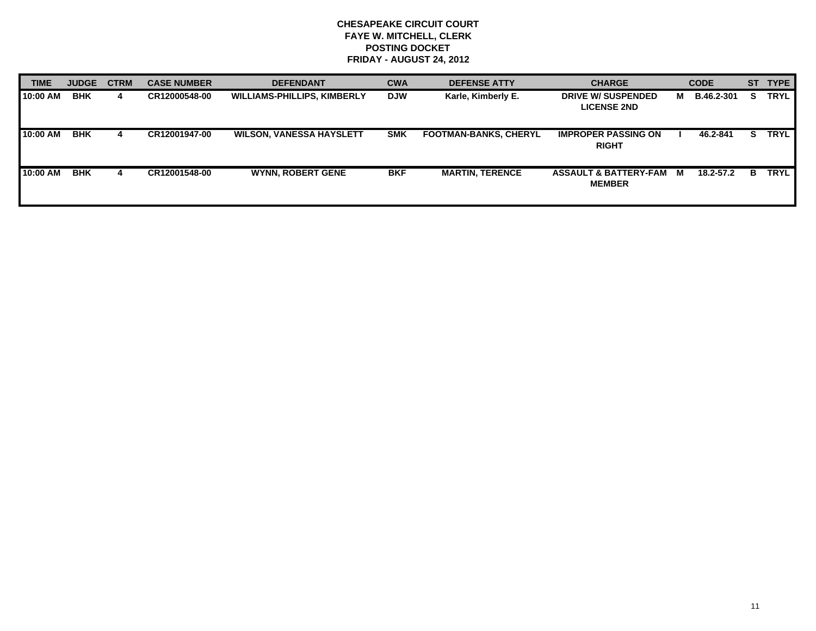| <b>TIME</b> | <b>JUDGE</b> | <b>CTRM</b> | <b>CASE NUMBER</b> | <b>DEFENDANT</b>                   | <b>CWA</b> | <b>DEFENSE ATTY</b>          | <b>CHARGE</b>                                   |   | <b>CODE</b>       | <b>ST</b> | <b>TYPE</b> |
|-------------|--------------|-------------|--------------------|------------------------------------|------------|------------------------------|-------------------------------------------------|---|-------------------|-----------|-------------|
| 10:00 AM    | <b>BHK</b>   | 4           | CR12000548-00      | <b>WILLIAMS-PHILLIPS, KIMBERLY</b> | <b>DJW</b> | Karle, Kimberly E.           | <b>DRIVE W/ SUSPENDED</b><br><b>LICENSE 2ND</b> | M | <b>B.46.2-301</b> | s         | <b>TRYL</b> |
| 10:00 AM    | <b>BHK</b>   | 4           | CR12001947-00      | <b>WILSON, VANESSA HAYSLETT</b>    | <b>SMK</b> | <b>FOOTMAN-BANKS, CHERYL</b> | <b>IMPROPER PASSING ON</b><br><b>RIGHT</b>      |   | 46.2-841          |           | <b>TRYL</b> |
| 10:00 AM    | <b>BHK</b>   | 4           | CR12001548-00      | <b>WYNN, ROBERT GENE</b>           | <b>BKF</b> | <b>MARTIN, TERENCE</b>       | ASSAULT & BATTERY-FAM M<br><b>MEMBER</b>        |   | 18.2-57.2         | в.        | <b>TRYL</b> |